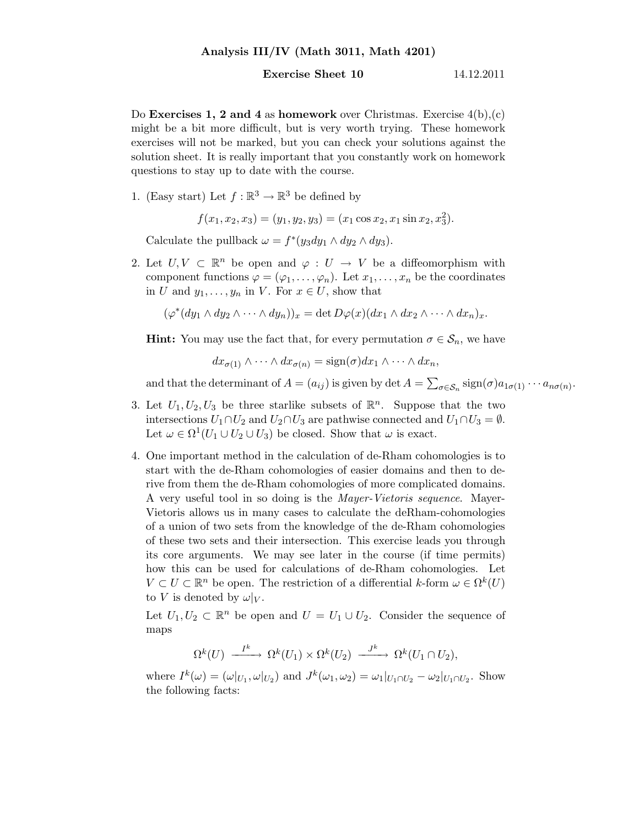## **Exercise Sheet 10** 14.12.2011

Do Exercises 1, 2 and 4 as homework over Christmas. Exercise  $4(b),(c)$ might be a bit more difficult, but is very worth trying. These homework exercises will not be marked, but you can check your solutions against the solution sheet. It is really important that you constantly work on homework questions to stay up to date with the course.

1. (Easy start) Let  $f : \mathbb{R}^3 \to \mathbb{R}^3$  be defined by

 $f(x_1, x_2, x_3) = (y_1, y_2, y_3) = (x_1 \cos x_2, x_1 \sin x_2, x_3^2).$ 

Calculate the pullback  $\omega = f^*(y_3 dy_1 \wedge dy_2 \wedge dy_3)$ .

2. Let  $U, V \subset \mathbb{R}^n$  be open and  $\varphi: U \to V$  be a diffeomorphism with component functions  $\varphi = (\varphi_1, \ldots, \varphi_n)$ . Let  $x_1, \ldots, x_n$  be the coordinates in U and  $y_1, \ldots, y_n$  in V. For  $x \in U$ , show that

 $(\varphi^*(dy_1 \wedge dy_2 \wedge \cdots \wedge dy_n))_x = \det D\varphi(x) (dx_1 \wedge dx_2 \wedge \cdots \wedge dx_n)_x.$ 

**Hint:** You may use the fact that, for every permutation  $\sigma \in \mathcal{S}_n$ , we have

 $dx_{\sigma(1)} \wedge \cdots \wedge dx_{\sigma(n)} = \text{sign}(\sigma) dx_1 \wedge \cdots \wedge dx_n,$ 

and that the determinant of  $A = (a_{ij})$  is given by det  $A = \sum_{\sigma \in S_n} sign(\sigma) a_{1\sigma(1)} \cdots a_{n\sigma(n)}$ .

- 3. Let  $U_1, U_2, U_3$  be three starlike subsets of  $\mathbb{R}^n$ . Suppose that the two intersections  $U_1 \cap U_2$  and  $U_2 \cap U_3$  are pathwise connected and  $U_1 \cap U_3 = \emptyset$ . Let  $\omega \in \Omega^1(U_1 \cup U_2 \cup U_3)$  be closed. Show that  $\omega$  is exact.
- 4. One important method in the calculation of de-Rham cohomologies is to start with the de-Rham cohomologies of easier domains and then to derive from them the de-Rham cohomologies of more complicated domains. A very useful tool in so doing is the Mayer-Vietoris sequence. Mayer-Vietoris allows us in many cases to calculate the deRham-cohomologies of a union of two sets from the knowledge of the de-Rham cohomologies of these two sets and their intersection. This exercise leads you through its core arguments. We may see later in the course (if time permits) how this can be used for calculations of de-Rham cohomologies. Let  $V \subset U \subset \mathbb{R}^n$  be open. The restriction of a differential k-form  $\omega \in \Omega^k(U)$ to V is denoted by  $\omega|_V$ .

Let  $U_1, U_2 \subset \mathbb{R}^n$  be open and  $U = U_1 \cup U_2$ . Consider the sequence of maps

$$
\Omega^k(U) \xrightarrow{I^k} \Omega^k(U_1) \times \Omega^k(U_2) \xrightarrow{J^k} \Omega^k(U_1 \cap U_2),
$$

where  $I^k(\omega) = (\omega|_{U_1}, \omega|_{U_2})$  and  $J^k(\omega_1, \omega_2) = \omega_1|_{U_1 \cap U_2} - \omega_2|_{U_1 \cap U_2}$ . Show the following facts: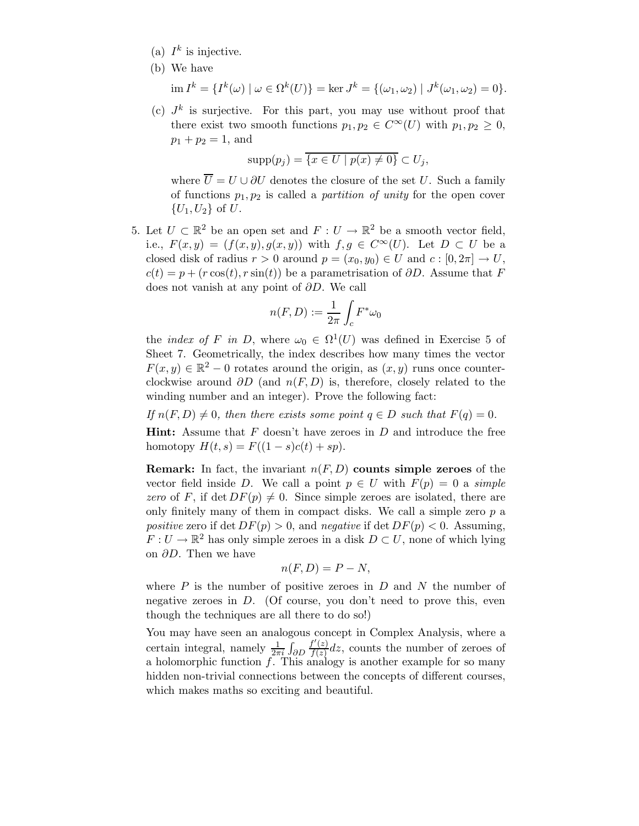- (a)  $I^k$  is injective.
- (b) We have

$$
\text{im } I^k = \{I^k(\omega) \mid \omega \in \Omega^k(U)\} = \text{ker } J^k = \{(\omega_1, \omega_2) \mid J^k(\omega_1, \omega_2) = 0\}.
$$

(c)  $J^k$  is surjective. For this part, you may use without proof that there exist two smooth functions  $p_1, p_2 \in C^{\infty}(U)$  with  $p_1, p_2 \geq 0$ ,  $p_1 + p_2 = 1$ , and

$$
supp(p_j) = \overline{\{x \in U \mid p(x) \neq 0\}} \subset U_j,
$$

where  $\overline{U} = U \cup \partial U$  denotes the closure of the set U. Such a family of functions  $p_1, p_2$  is called a *partition of unity* for the open cover  ${U_1, U_2}$  of U.

5. Let  $U \subset \mathbb{R}^2$  be an open set and  $F: U \to \mathbb{R}^2$  be a smooth vector field, i.e.,  $F(x, y) = (f(x, y), g(x, y))$  with  $f, g \in C^{\infty}(U)$ . Let  $D \subset U$  be a closed disk of radius  $r > 0$  around  $p = (x_0, y_0) \in U$  and  $c : [0, 2\pi] \to U$ ,  $c(t) = p + (r \cos(t), r \sin(t))$  be a parametrisation of  $\partial D$ . Assume that F does not vanish at any point of ∂D. We call

$$
n(F,D):=\frac{1}{2\pi}\int_{c}F^{\ast}\omega_{0}
$$

the *index of* F in D, where  $\omega_0 \in \Omega^1(U)$  was defined in Exercise 5 of Sheet 7. Geometrically, the index describes how many times the vector  $F(x, y) \in \mathbb{R}^2 - 0$  rotates around the origin, as  $(x, y)$  runs once counterclockwise around  $\partial D$  (and  $n(F, D)$ ) is, therefore, closely related to the winding number and an integer). Prove the following fact:

If  $n(F, D) \neq 0$ , then there exists some point  $q \in D$  such that  $F(q) = 0$ .

**Hint:** Assume that  $F$  doesn't have zeroes in  $D$  and introduce the free homotopy  $H(t, s) = F((1 - s)c(t) + sp).$ 

**Remark:** In fact, the invariant  $n(F, D)$  counts simple zeroes of the vector field inside D. We call a point  $p \in U$  with  $F(p) = 0$  a simple zero of F, if det  $DF(p) \neq 0$ . Since simple zeroes are isolated, there are only finitely many of them in compact disks. We call a simple zero  $p$  a positive zero if det  $DF(p) > 0$ , and negative if det  $DF(p) < 0$ . Assuming,  $F: U \to \mathbb{R}^2$  has only simple zeroes in a disk  $D \subset U$ , none of which lying on  $\partial D$ . Then we have

$$
n(F,D) = P - N,
$$

where  $P$  is the number of positive zeroes in  $D$  and  $N$  the number of negative zeroes in  $D$ . (Of course, you don't need to prove this, even though the techniques are all there to do so!)

You may have seen an analogous concept in Complex Analysis, where a certain integral, namely  $\frac{1}{2\pi i} \int_{\partial D}$  $f'(z)$  $\frac{f(z)}{f(z)}dz$ , counts the number of zeroes of a holomorphic function f. This analogy is another example for so many hidden non-trivial connections between the concepts of different courses, which makes maths so exciting and beautiful.